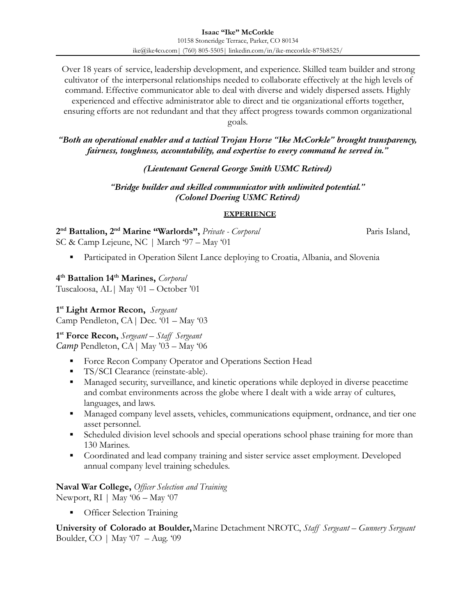Over 18 years of service, leadership development, and experience. Skilled team builder and strong cultivator of the interpersonal relationships needed to collaborate effectively at the high levels of command. Effective communicator able to deal with diverse and widely dispersed assets. Highly experienced and effective administrator able to direct and tie organizational efforts together, ensuring efforts are not redundant and that they affect progress towards common organizational

goals.

### *"Both an operational enabler and a tactical Trojan Horse "Ike McCorkle" brought transparency, fairness, toughness, accountability, and expertise to every command he served in."*

# *(Lieutenant General George Smith USMC Retired)*

# *"Bridge builder and skilled communicator with unlimited potential." (Colonel Doering USMC Retired)*

### **EXPERIENCE**

**2 nd Battalion, 2nd Marine "Warlords",** *Private - Corporal* Paris Island, SC & Camp Lejeune, NC *|* March '97 – May '01

Participated in Operation Silent Lance deploying to Croatia, Albania, and Slovenia

# **4 th Battalion 14th Marines,** *Corporal*

Tuscaloosa, AL*|* May '01 – October '01

# **1 st Light Armor Recon,** *Sergeant*

Camp Pendleton, CA*|* Dec. '01 – May '03

# **1 st Force Recon,** *Sergeant – Staff Sergeant*

*Camp* Pendleton, CA*|* May '03 – May '06

- **Force Recon Company Operator and Operations Section Head**
- TS/SCI Clearance (reinstate-able).
- Managed security, surveillance, and kinetic operations while deployed in diverse peacetime and combat environments across the globe where I dealt with a wide array of cultures, languages, and laws.
- **I.** Managed company level assets, vehicles, communications equipment, ordnance, and tier one asset personnel.
- **•** Scheduled division level schools and special operations school phase training for more than 130 Marines.
- **•** Coordinated and lead company training and sister service asset employment. Developed annual company level training schedules.

**Naval War College,** *Officer Selection and Training* Newport, RI | May '06 – May '07

**Officer Selection Training** 

**University of Colorado at Boulder,**Marine Detachment NROTC, *Staff Sergeant – Gunnery Sergeant* Boulder, CO | May '07 – Aug. '09